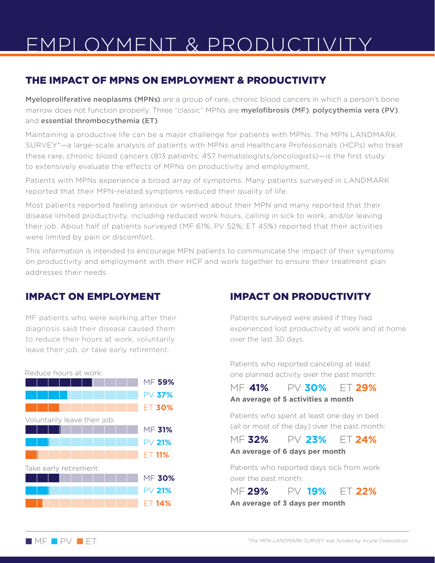# EMPLOYMENT & PRODUCTIVITY

## THE IMPACT OF MPNS ON EMPLOYMENT & PRODUCTIVITY

Myeloproliferative neoplasms (MPNs) are a group of rare, chronic blood cancers in which a person's bone marrow does not function properly. Three "classic" MPNs are myelofibrosis (MF), polycythemia vera (PV), and essential thrombocythemia (ET).

Maintaining a productive life can be a major challenge for patients with MPNs. The MPN LANDMARK SURVEY\*—a large-scale analysis of patients with MPNs and Healthcare Professionals (HCPs) who treat these rare, chronic blood cancers (813 patients; 457 hematologists/oncologists)—is the first study to extensively evaluate the effects of MPNs on productivity and employment.

Patients with MPNs experience a broad array of symptoms. Many patients surveyed in LANDMARK reported that their MPN-related symptoms reduced their quality of life.

Most patients reported feeling anxious or worried about their MPN and many reported that their disease limited productivity, including reduced work hours, calling in sick to work, and/or leaving their job. About half of patients surveyed (MF 61%; PV 52%; ET 45%) reported that their activities were limited by pain or discomfort.

This information is intended to encourage MPN patients to communicate the impact of their symptoms on productivity and employment with their HCP and work together to ensure their treatment plan addresses their needs.

## IMPACT ON EMPLOYMENT

MF patients who were working after their diagnosis said their disease caused them to reduce their hours at work, voluntarily leave their job, or take early retirement.



# IMPACT ON PRODUCTIVITY

Patients surveyed were asked if they had experienced lost productivity at work and at home over the last 30 days.

Patients who reported canceling at least one planned activity over the past month:

MF **41%** PV **30%** ET **29% An average of 5 activities a month**

Patients who spent at least one day in bed (all or most of the day) over the past month:

## MF **32%** PV **23%** ET **24%**

### **An average of 6 days per month**

Patients who reported days sick from work over the past month:

MF **29%** PV **19%** ET **22%**

**An average of 3 days per month**